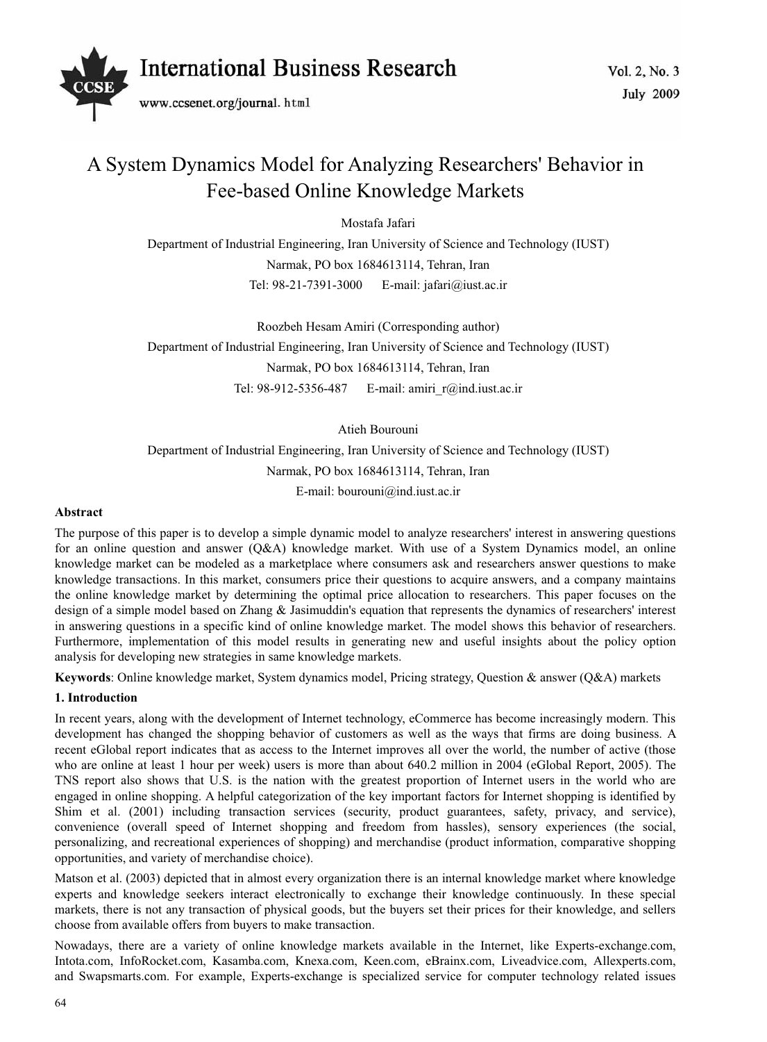

# A System Dynamics Model for Analyzing Researchers' Behavior in Fee-based Online Knowledge Markets

Mostafa Jafari

Department of Industrial Engineering, Iran University of Science and Technology (IUST) Narmak, PO box 1684613114, Tehran, Iran Tel: 98-21-7391-3000 E-mail: jafari@iust.ac.ir

Roozbeh Hesam Amiri (Corresponding author) Department of Industrial Engineering, Iran University of Science and Technology (IUST) Narmak, PO box 1684613114, Tehran, Iran Tel: 98-912-5356-487 E-mail: amiri\_r@ind.iust.ac.ir

Atieh Bourouni

Department of Industrial Engineering, Iran University of Science and Technology (IUST)

Narmak, PO box 1684613114, Tehran, Iran

E-mail: bourouni@ind.iust.ac.ir

## **Abstract**

The purpose of this paper is to develop a simple dynamic model to analyze researchers' interest in answering questions for an online question and answer (Q&A) knowledge market. With use of a System Dynamics model, an online knowledge market can be modeled as a marketplace where consumers ask and researchers answer questions to make knowledge transactions. In this market, consumers price their questions to acquire answers, and a company maintains the online knowledge market by determining the optimal price allocation to researchers. This paper focuses on the design of a simple model based on Zhang & Jasimuddin's equation that represents the dynamics of researchers' interest in answering questions in a specific kind of online knowledge market. The model shows this behavior of researchers. Furthermore, implementation of this model results in generating new and useful insights about the policy option analysis for developing new strategies in same knowledge markets.

**Keywords**: Online knowledge market, System dynamics model, Pricing strategy, Question & answer (Q&A) markets

# **1. Introduction**

In recent years, along with the development of Internet technology, eCommerce has become increasingly modern. This development has changed the shopping behavior of customers as well as the ways that firms are doing business. A recent eGlobal report indicates that as access to the Internet improves all over the world, the number of active (those who are online at least 1 hour per week) users is more than about 640.2 million in 2004 (eGlobal Report, 2005). The TNS report also shows that U.S. is the nation with the greatest proportion of Internet users in the world who are engaged in online shopping. A helpful categorization of the key important factors for Internet shopping is identified by Shim et al. (2001) including transaction services (security, product guarantees, safety, privacy, and service), convenience (overall speed of Internet shopping and freedom from hassles), sensory experiences (the social, personalizing, and recreational experiences of shopping) and merchandise (product information, comparative shopping opportunities, and variety of merchandise choice).

Matson et al. (2003) depicted that in almost every organization there is an internal knowledge market where knowledge experts and knowledge seekers interact electronically to exchange their knowledge continuously. In these special markets, there is not any transaction of physical goods, but the buyers set their prices for their knowledge, and sellers choose from available offers from buyers to make transaction.

Nowadays, there are a variety of online knowledge markets available in the Internet, like Experts-exchange.com, Intota.com, InfoRocket.com, Kasamba.com, Knexa.com, Keen.com, eBrainx.com, Liveadvice.com, Allexperts.com, and Swapsmarts.com. For example, Experts-exchange is specialized service for computer technology related issues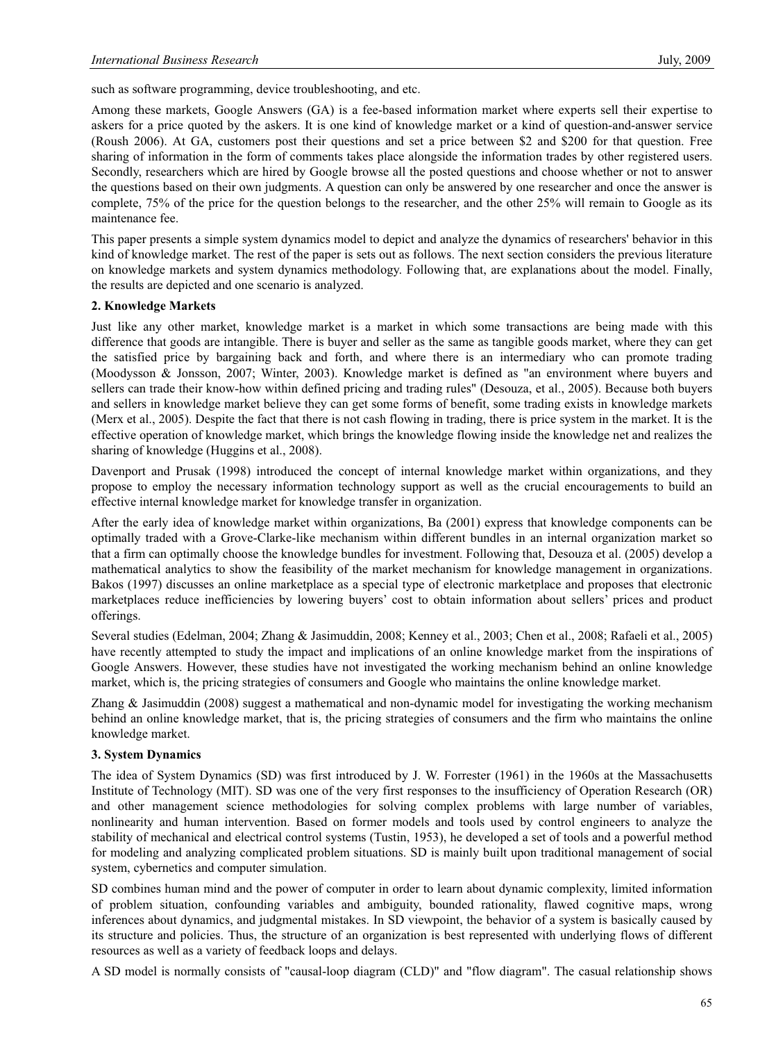such as software programming, device troubleshooting, and etc.

Among these markets, Google Answers (GA) is a fee-based information market where experts sell their expertise to askers for a price quoted by the askers. It is one kind of knowledge market or a kind of question-and-answer service (Roush 2006). At GA, customers post their questions and set a price between \$2 and \$200 for that question. Free sharing of information in the form of comments takes place alongside the information trades by other registered users. Secondly, researchers which are hired by Google browse all the posted questions and choose whether or not to answer the questions based on their own judgments. A question can only be answered by one researcher and once the answer is complete, 75% of the price for the question belongs to the researcher, and the other 25% will remain to Google as its maintenance fee.

This paper presents a simple system dynamics model to depict and analyze the dynamics of researchers' behavior in this kind of knowledge market. The rest of the paper is sets out as follows. The next section considers the previous literature on knowledge markets and system dynamics methodology. Following that, are explanations about the model. Finally, the results are depicted and one scenario is analyzed.

## **2. Knowledge Markets**

Just like any other market, knowledge market is a market in which some transactions are being made with this difference that goods are intangible. There is buyer and seller as the same as tangible goods market, where they can get the satisfied price by bargaining back and forth, and where there is an intermediary who can promote trading (Moodysson & Jonsson, 2007; Winter, 2003). Knowledge market is defined as "an environment where buyers and sellers can trade their know-how within defined pricing and trading rules" (Desouza, et al., 2005). Because both buyers and sellers in knowledge market believe they can get some forms of benefit, some trading exists in knowledge markets (Merx et al., 2005). Despite the fact that there is not cash flowing in trading, there is price system in the market. It is the effective operation of knowledge market, which brings the knowledge flowing inside the knowledge net and realizes the sharing of knowledge (Huggins et al., 2008).

Davenport and Prusak (1998) introduced the concept of internal knowledge market within organizations, and they propose to employ the necessary information technology support as well as the crucial encouragements to build an effective internal knowledge market for knowledge transfer in organization.

After the early idea of knowledge market within organizations, Ba (2001) express that knowledge components can be optimally traded with a Grove-Clarke-like mechanism within different bundles in an internal organization market so that a firm can optimally choose the knowledge bundles for investment. Following that, Desouza et al. (2005) develop a mathematical analytics to show the feasibility of the market mechanism for knowledge management in organizations. Bakos (1997) discusses an online marketplace as a special type of electronic marketplace and proposes that electronic marketplaces reduce inefficiencies by lowering buyers' cost to obtain information about sellers' prices and product offerings.

Several studies (Edelman, 2004; Zhang & Jasimuddin, 2008; Kenney et al., 2003; Chen et al., 2008; Rafaeli et al., 2005) have recently attempted to study the impact and implications of an online knowledge market from the inspirations of Google Answers. However, these studies have not investigated the working mechanism behind an online knowledge market, which is, the pricing strategies of consumers and Google who maintains the online knowledge market.

Zhang & Jasimuddin (2008) suggest a mathematical and non-dynamic model for investigating the working mechanism behind an online knowledge market, that is, the pricing strategies of consumers and the firm who maintains the online knowledge market.

#### **3. System Dynamics**

The idea of System Dynamics (SD) was first introduced by J. W. Forrester (1961) in the 1960s at the Massachusetts Institute of Technology (MIT). SD was one of the very first responses to the insufficiency of Operation Research (OR) and other management science methodologies for solving complex problems with large number of variables, nonlinearity and human intervention. Based on former models and tools used by control engineers to analyze the stability of mechanical and electrical control systems (Tustin, 1953), he developed a set of tools and a powerful method for modeling and analyzing complicated problem situations. SD is mainly built upon traditional management of social system, cybernetics and computer simulation.

SD combines human mind and the power of computer in order to learn about dynamic complexity, limited information of problem situation, confounding variables and ambiguity, bounded rationality, flawed cognitive maps, wrong inferences about dynamics, and judgmental mistakes. In SD viewpoint, the behavior of a system is basically caused by its structure and policies. Thus, the structure of an organization is best represented with underlying flows of different resources as well as a variety of feedback loops and delays.

A SD model is normally consists of "causal-loop diagram (CLD)" and "flow diagram". The casual relationship shows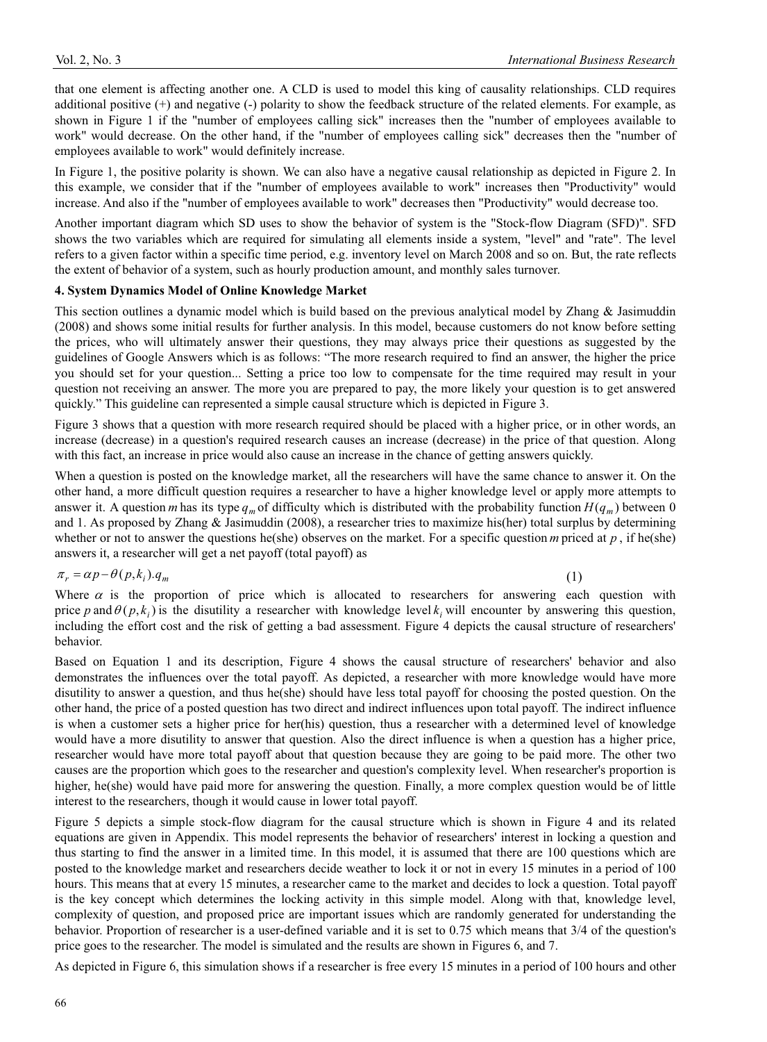that one element is affecting another one. A CLD is used to model this king of causality relationships. CLD requires additional positive (+) and negative (-) polarity to show the feedback structure of the related elements. For example, as shown in Figure 1 if the "number of employees calling sick" increases then the "number of employees available to work" would decrease. On the other hand, if the "number of employees calling sick" decreases then the "number of employees available to work" would definitely increase.

In Figure 1, the positive polarity is shown. We can also have a negative causal relationship as depicted in Figure 2. In this example, we consider that if the "number of employees available to work" increases then "Productivity" would increase. And also if the "number of employees available to work" decreases then "Productivity" would decrease too.

Another important diagram which SD uses to show the behavior of system is the "Stock-flow Diagram (SFD)". SFD shows the two variables which are required for simulating all elements inside a system, "level" and "rate". The level refers to a given factor within a specific time period, e.g. inventory level on March 2008 and so on. But, the rate reflects the extent of behavior of a system, such as hourly production amount, and monthly sales turnover.

#### **4. System Dynamics Model of Online Knowledge Market**

This section outlines a dynamic model which is build based on the previous analytical model by Zhang & Jasimuddin (2008) and shows some initial results for further analysis. In this model, because customers do not know before setting the prices, who will ultimately answer their questions, they may always price their questions as suggested by the guidelines of Google Answers which is as follows: "The more research required to find an answer, the higher the price you should set for your question... Setting a price too low to compensate for the time required may result in your question not receiving an answer. The more you are prepared to pay, the more likely your question is to get answered quickly." This guideline can represented a simple causal structure which is depicted in Figure 3.

Figure 3 shows that a question with more research required should be placed with a higher price, or in other words, an increase (decrease) in a question's required research causes an increase (decrease) in the price of that question. Along with this fact, an increase in price would also cause an increase in the chance of getting answers quickly.

When a question is posted on the knowledge market, all the researchers will have the same chance to answer it. On the other hand, a more difficult question requires a researcher to have a higher knowledge level or apply more attempts to answer it. A question *m* has its type  $q_m$  of difficulty which is distributed with the probability function  $H(q_m)$  between 0 and 1. As proposed by Zhang & Jasimuddin (2008), a researcher tries to maximize his(her) total surplus by determining whether or not to answer the questions he(she) observes on the market. For a specific question *m* priced at  $p$ , if he(she) answers it, a researcher will get a net payoff (total payoff) as

$$
\pi_r = \alpha p - \theta(p, k_i).q_m \tag{1}
$$

Where  $\alpha$  is the proportion of price which is allocated to researchers for answering each question with price p and  $\theta(p, k_i)$  is the disutility a researcher with knowledge level  $k_i$  will encounter by answering this question, including the effort cost and the risk of getting a bad assessment. Figure 4 depicts the causal structure of researchers' behavior.

Based on Equation 1 and its description, Figure 4 shows the causal structure of researchers' behavior and also demonstrates the influences over the total payoff. As depicted, a researcher with more knowledge would have more disutility to answer a question, and thus he(she) should have less total payoff for choosing the posted question. On the other hand, the price of a posted question has two direct and indirect influences upon total payoff. The indirect influence is when a customer sets a higher price for her(his) question, thus a researcher with a determined level of knowledge would have a more disutility to answer that question. Also the direct influence is when a question has a higher price, researcher would have more total payoff about that question because they are going to be paid more. The other two causes are the proportion which goes to the researcher and question's complexity level. When researcher's proportion is higher, he(she) would have paid more for answering the question. Finally, a more complex question would be of little interest to the researchers, though it would cause in lower total payoff.

Figure 5 depicts a simple stock-flow diagram for the causal structure which is shown in Figure 4 and its related equations are given in Appendix. This model represents the behavior of researchers' interest in locking a question and thus starting to find the answer in a limited time. In this model, it is assumed that there are 100 questions which are posted to the knowledge market and researchers decide weather to lock it or not in every 15 minutes in a period of 100 hours. This means that at every 15 minutes, a researcher came to the market and decides to lock a question. Total payoff is the key concept which determines the locking activity in this simple model. Along with that, knowledge level, complexity of question, and proposed price are important issues which are randomly generated for understanding the behavior. Proportion of researcher is a user-defined variable and it is set to 0.75 which means that 3/4 of the question's price goes to the researcher. The model is simulated and the results are shown in Figures 6, and 7.

As depicted in Figure 6, this simulation shows if a researcher is free every 15 minutes in a period of 100 hours and other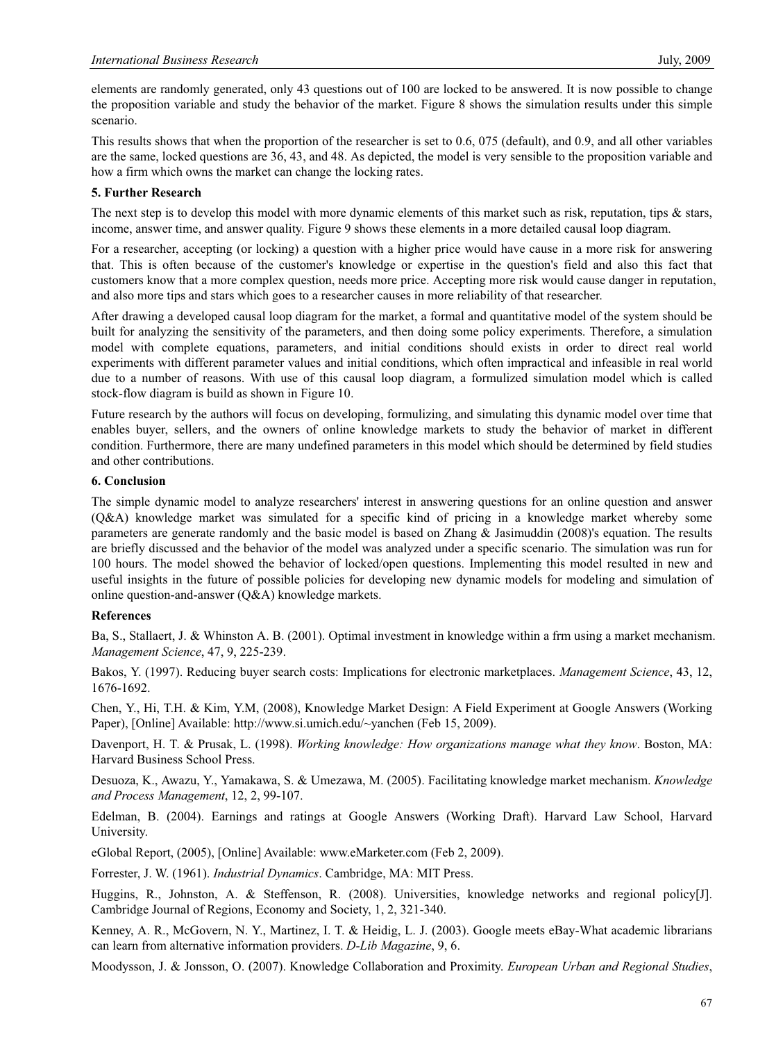elements are randomly generated, only 43 questions out of 100 are locked to be answered. It is now possible to change the proposition variable and study the behavior of the market. Figure 8 shows the simulation results under this simple scenario.

This results shows that when the proportion of the researcher is set to 0.6, 075 (default), and 0.9, and all other variables are the same, locked questions are 36, 43, and 48. As depicted, the model is very sensible to the proposition variable and how a firm which owns the market can change the locking rates.

# **5. Further Research**

The next step is to develop this model with more dynamic elements of this market such as risk, reputation, tips  $\&$  stars, income, answer time, and answer quality. Figure 9 shows these elements in a more detailed causal loop diagram.

For a researcher, accepting (or locking) a question with a higher price would have cause in a more risk for answering that. This is often because of the customer's knowledge or expertise in the question's field and also this fact that customers know that a more complex question, needs more price. Accepting more risk would cause danger in reputation, and also more tips and stars which goes to a researcher causes in more reliability of that researcher.

After drawing a developed causal loop diagram for the market, a formal and quantitative model of the system should be built for analyzing the sensitivity of the parameters, and then doing some policy experiments. Therefore, a simulation model with complete equations, parameters, and initial conditions should exists in order to direct real world experiments with different parameter values and initial conditions, which often impractical and infeasible in real world due to a number of reasons. With use of this causal loop diagram, a formulized simulation model which is called stock-flow diagram is build as shown in Figure 10.

Future research by the authors will focus on developing, formulizing, and simulating this dynamic model over time that enables buyer, sellers, and the owners of online knowledge markets to study the behavior of market in different condition. Furthermore, there are many undefined parameters in this model which should be determined by field studies and other contributions.

## **6. Conclusion**

The simple dynamic model to analyze researchers' interest in answering questions for an online question and answer (Q&A) knowledge market was simulated for a specific kind of pricing in a knowledge market whereby some parameters are generate randomly and the basic model is based on Zhang & Jasimuddin (2008)'s equation. The results are briefly discussed and the behavior of the model was analyzed under a specific scenario. The simulation was run for 100 hours. The model showed the behavior of locked/open questions. Implementing this model resulted in new and useful insights in the future of possible policies for developing new dynamic models for modeling and simulation of online question-and-answer (Q&A) knowledge markets.

# **References**

Ba, S., Stallaert, J. & Whinston A. B. (2001). Optimal investment in knowledge within a frm using a market mechanism. *Management Science*, 47, 9, 225-239.

Bakos, Y. (1997). Reducing buyer search costs: Implications for electronic marketplaces. *Management Science*, 43, 12, 1676-1692.

Chen, Y., Hi, T.H. & Kim, Y.M, (2008), Knowledge Market Design: A Field Experiment at Google Answers (Working Paper), [Online] Available: http://www.si.umich.edu/~yanchen (Feb 15, 2009).

Davenport, H. T. & Prusak, L. (1998). *Working knowledge: How organizations manage what they know*. Boston, MA: Harvard Business School Press.

Desuoza, K., Awazu, Y., Yamakawa, S. & Umezawa, M. (2005). Facilitating knowledge market mechanism. *Knowledge and Process Management*, 12, 2, 99-107.

Edelman, B. (2004). Earnings and ratings at Google Answers (Working Draft). Harvard Law School, Harvard University.

eGlobal Report, (2005), [Online] Available: www.eMarketer.com (Feb 2, 2009).

Forrester, J. W. (1961). *Industrial Dynamics*. Cambridge, MA: MIT Press.

Huggins, R., Johnston, A. & Steffenson, R. (2008). Universities, knowledge networks and regional policy[J]. Cambridge Journal of Regions, Economy and Society, 1, 2, 321-340.

Kenney, A. R., McGovern, N. Y., Martinez, I. T. & Heidig, L. J. (2003). Google meets eBay-What academic librarians can learn from alternative information providers. *D-Lib Magazine*, 9, 6.

Moodysson, J. & Jonsson, O. (2007). Knowledge Collaboration and Proximity. *European Urban and Regional Studies*,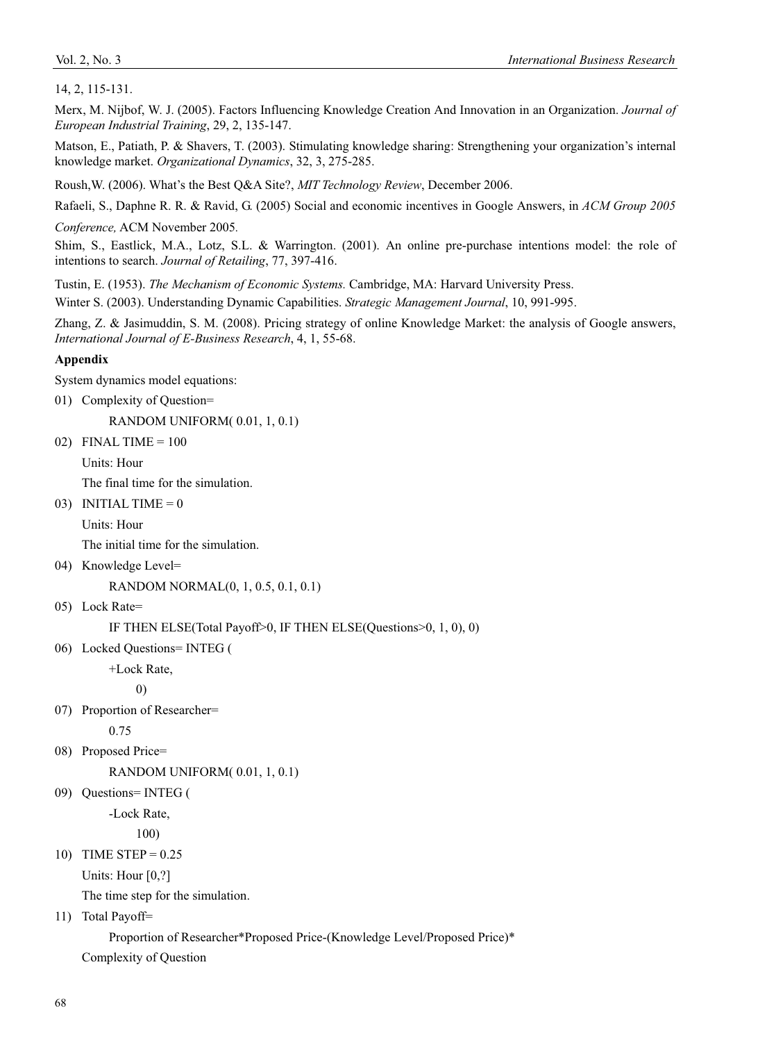### 14, 2, 115-131.

Merx, M. Nijbof, W. J. (2005). Factors Influencing Knowledge Creation And Innovation in an Organization. *Journal of European Industrial Training*, 29, 2, 135-147.

Matson, E., Patiath, P. & Shavers, T. (2003). Stimulating knowledge sharing: Strengthening your organization's internal knowledge market. *Organizational Dynamics*, 32, 3, 275-285.

Roush,W. (2006). What's the Best Q&A Site?, *MIT Technology Review*, December 2006.

Rafaeli, S., Daphne R. R. & Ravid, G. (2005) Social and economic incentives in Google Answers, in *ACM Group 2005 Conference,* ACM November 2005*.*

Shim, S., Eastlick, M.A., Lotz, S.L. & Warrington. (2001). An online pre-purchase intentions model: the role of intentions to search. *Journal of Retailing*, 77, 397-416.

Tustin, E. (1953). *The Mechanism of Economic Systems.* Cambridge, MA: Harvard University Press.

Winter S. (2003). Understanding Dynamic Capabilities. *Strategic Management Journal*, 10, 991-995.

Zhang, Z. & Jasimuddin, S. M. (2008). Pricing strategy of online Knowledge Market: the analysis of Google answers, *International Journal of E-Business Research*, 4, 1, 55-68.

#### **Appendix**

System dynamics model equations:

01) Complexity of Question=

RANDOM UNIFORM( 0.01, 1, 0.1)

02) FINAL TIME =  $100$ 

Units: Hour

The final time for the simulation.

03) INITIAL TIME  $= 0$ 

Units: Hour

The initial time for the simulation.

04) Knowledge Level=

```
 RANDOM NORMAL(0, 1, 0.5, 0.1, 0.1)
```
05) Lock Rate=

```
 IF THEN ELSE(Total Payoff>0, IF THEN ELSE(Questions>0, 1, 0), 0)
```
06) Locked Questions= INTEG (

+Lock Rate,

0)

07) Proportion of Researcher=

0.75

08) Proposed Price=

```
 RANDOM UNIFORM( 0.01, 1, 0.1)
```
09) Questions= INTEG (

-Lock Rate,

100)

10) TIME STEP = 0.25

Units: Hour [0,?]

The time step for the simulation.

11) Total Payoff=

Proportion of Researcher\*Proposed Price-(Knowledge Level/Proposed Price)\*

Complexity of Question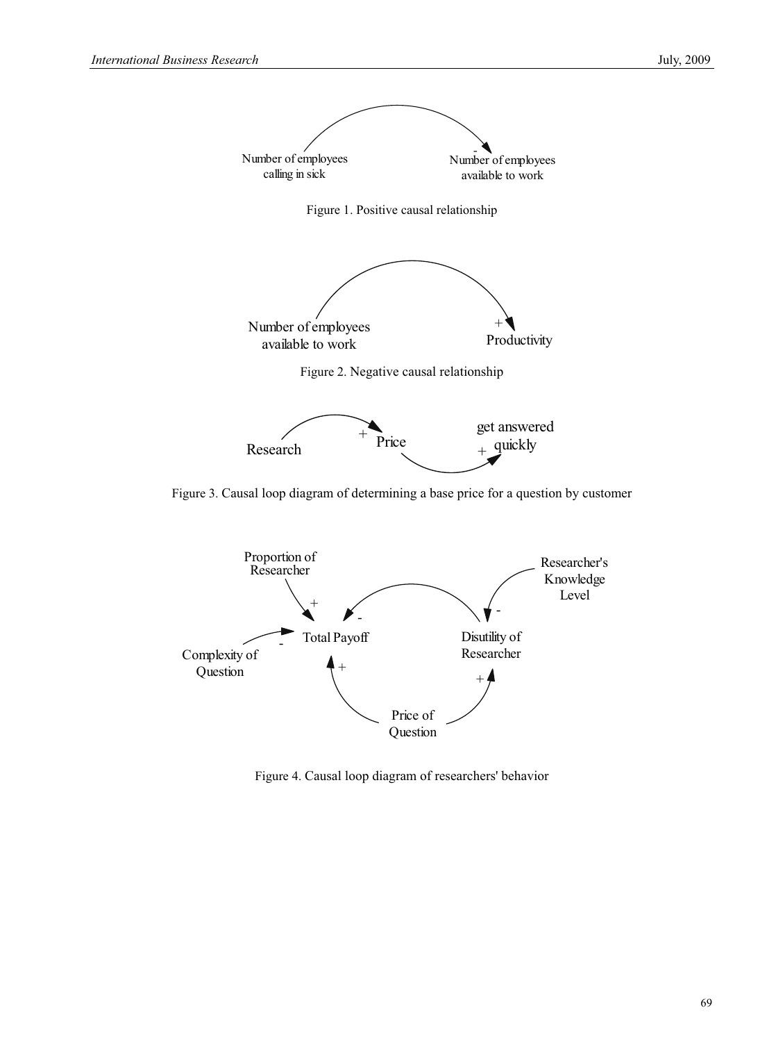



Figure 4. Causal loop diagram of researchers' behavior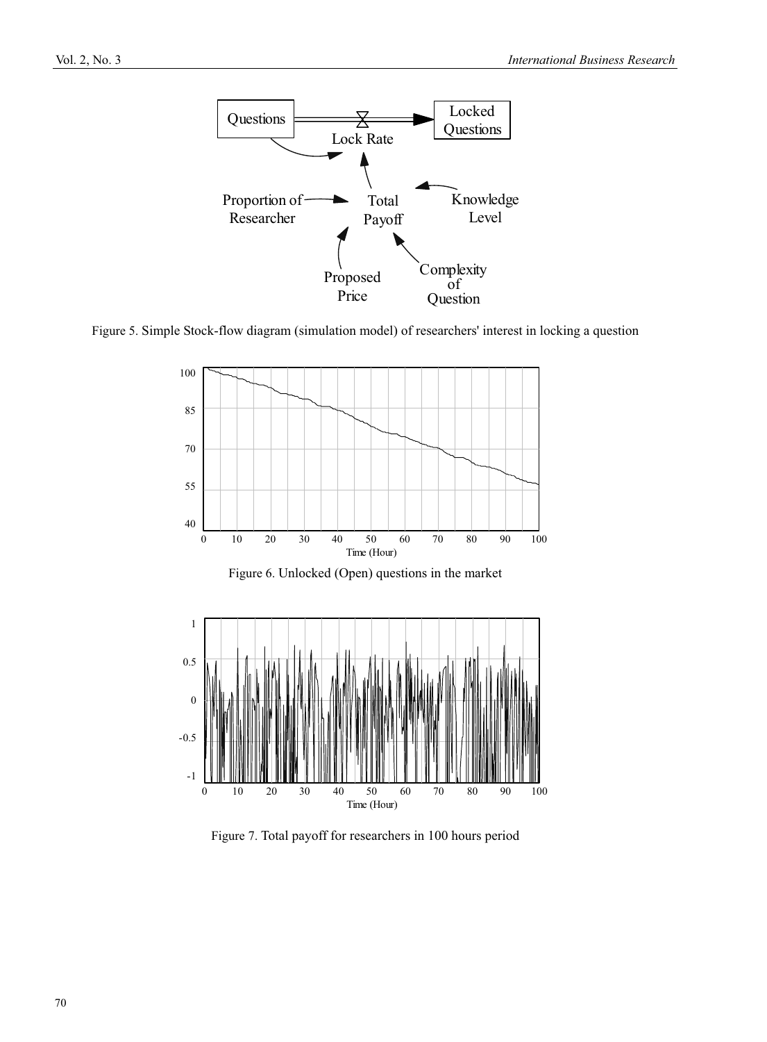

Figure 5. Simple Stock-flow diagram (simulation model) of researchers' interest in locking a question



Figure 7. Total payoff for researchers in 100 hours period

0 10 20 30 40 50 60 70 80 90 100 Time (Hour)